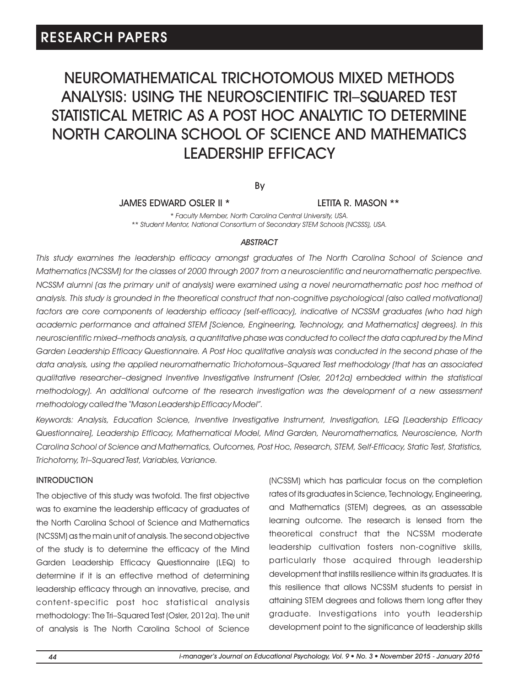# NEUROMATHEMATICAL TRICHOTOMOUS MIXED METHODS ANALYSIS: USING THE NEUROSCIENTIFIC TRI–SQUARED TEST STATISTICAL METRIC AS A POST HOC ANALYTIC TO DETERMINE NORTH CAROLINA SCHOOL OF SCIENCE AND MATHEMATICS LEADERSHIP EFFICACY

#### By

JAMES EDWARD OSLER II \* LETITA R. MASON \*\*

*\* Faculty Member, North Carolina Central University, USA. \*\* Student Mentor, National Consortium of Secondary STEM Schools (NCSSS), USA.*

#### *ABSTRACT*

*This study examines the leadership efficacy amongst graduates of The North Carolina School of Science and Mathematics (NCSSM) for the classes of 2000 through 2007 from a neuroscientific and neuromathematic perspective. NCSSM alumni (as the primary unit of analysis) were examined using a novel neuromathematic post hoc method of*  analysis. This study is grounded in the theoretical construct that non-cognitive psychological (also called motivational) factors are core components of leadership efficacy (self-efficacy), indicative of NCSSM graduates (who had high *academic performance and attained STEM [Science, Engineering, Technology, and Mathematics] degrees). In this neuroscientific mixed–methods analysis, a quantitative phase was conducted to collect the data captured by the Mind*  Garden Leadership Efficacy Questionnaire. A Post Hoc qualitative analysis was conducted in the second phase of the *data analysis, using the applied neuromathematic Trichotomous–Squared Test methodology (that has an associated qualitative researcher–designed Inventive Investigative Instrument (Osler, 2012a) embedded within the statistical methodology). An additional outcome of the research investigation was the development of a new assessment methodology called the "Mason Leadership Efficacy Model".* 

*Keywords: Analysis, Education Science, Inventive Investigative Instrument, Investigation, LEQ [Leadership Efficacy Questionnaire], Leadership Efficacy, Mathematical Model, Mind Garden, Neuromathematics, Neuroscience, North Carolina School of Science and Mathematics, Outcomes, Post Hoc, Research, STEM, Self-Efficacy, Static Test, Statistics, Trichotomy, Tri–Squared Test, Variables, Variance.*

#### INTRODUCTION

The objective of this study was twofold. The first objective was to examine the leadership efficacy of graduates of the North Carolina School of Science and Mathematics (NCSSM) as the main unit of analysis. The second objective of the study is to determine the efficacy of the Mind Garden Leadership Efficacy Questionnaire (LEQ) to determine if it is an effective method of determining leadership efficacy through an innovative, precise, and content-specific post hoc statistical analysis methodology: The Tri–Squared Test (Osler, 2012a). The unit of analysis is The North Carolina School of Science (NCSSM) which has particular focus on the completion rates of its graduates in Science, Technology, Engineering, and Mathematics (STEM) degrees, as an assessable learning outcome. The research is lensed from the theoretical construct that the NCSSM moderate leadership cultivation fosters non-cognitive skills, particularly those acquired through leadership development that instills resilience within its graduates. It is this resilience that allows NCSSM students to persist in attaining STEM degrees and follows them long after they graduate. Investigations into youth leadership development point to the significance of leadership skills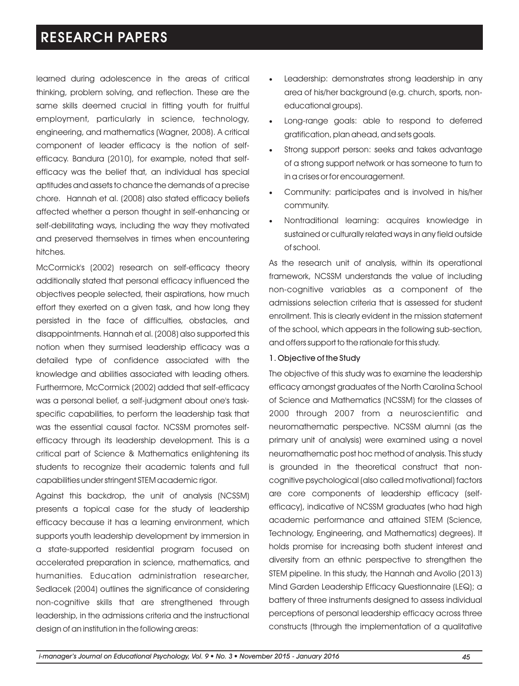learned during adolescence in the areas of critical thinking, problem solving, and reflection. These are the same skills deemed crucial in fitting youth for fruitful employment, particularly in science, technology, engineering, and mathematics (Wagner, 2008). A critical component of leader efficacy is the notion of selfefficacy. Bandura (2010), for example, noted that selfefficacy was the belief that, an individual has special aptitudes and assets to chance the demands of a precise chore. Hannah et al. (2008) also stated efficacy beliefs affected whether a person thought in self-enhancing or self-debilitating ways, including the way they motivated and preserved themselves in times when encountering hitches.

McCormick's (2002) research on self-efficacy theory additionally stated that personal efficacy influenced the objectives people selected, their aspirations, how much effort they exerted on a given task, and how long they persisted in the face of difficulties, obstacles, and disappointments. Hannah et al. (2008) also supported this notion when they surmised leadership efficacy was a detailed type of confidence associated with the knowledge and abilities associated with leading others. Furthermore, McCormick (2002) added that self-efficacy was a personal belief, a self-judgment about one's taskspecific capabilities, to perform the leadership task that was the essential causal factor. NCSSM promotes selfefficacy through its leadership development. This is a critical part of Science & Mathematics enlightening its students to recognize their academic talents and full capabilities under stringent STEM academic rigor.

Against this backdrop, the unit of analysis (NCSSM) presents a topical case for the study of leadership efficacy because it has a learning environment, which supports youth leadership development by immersion in a state-supported residential program focused on accelerated preparation in science, mathematics, and humanities. Education administration researcher, Sedlacek (2004) outlines the significance of considering non-cognitive skills that are strengthened through leadership, in the admissions criteria and the instructional design of an institution in the following areas:

- ·Leadership: demonstrates strong leadership in any area of his/her background (e.g. church, sports, noneducational groups).
- ·Long-range goals: able to respond to deferred gratification, plan ahead, and sets goals.
- Strong support person: seeks and takes advantage of a strong support network or has someone to turn to in a crises or for encouragement.
- Community: participates and is involved in his/her community.
- ·Nontraditional learning: acquires knowledge in sustained or culturally related ways in any field outside of school.

As the research unit of analysis, within its operational framework, NCSSM understands the value of including non-cognitive variables as a component of the admissions selection criteria that is assessed for student enrollment. This is clearly evident in the mission statement of the school, which appears in the following sub-section, and offers support to the rationale for this study.

#### 1. Objective of the Study

The objective of this study was to examine the leadership efficacy amongst graduates of the North Carolina School of Science and Mathematics (NCSSM) for the classes of 2000 through 2007 from a neuroscientific and neuromathematic perspective. NCSSM alumni (as the primary unit of analysis) were examined using a novel neuromathematic post hoc method of analysis. This study is grounded in the theoretical construct that noncognitive psychological (also called motivational) factors are core components of leadership efficacy (selfefficacy), indicative of NCSSM graduates (who had high academic performance and attained STEM (Science, Technology, Engineering, and Mathematics) degrees). It holds promise for increasing both student interest and diversity from an ethnic perspective to strengthen the STEM pipeline. In this study, the Hannah and Avolio (2013) Mind Garden Leadership Efficacy Questionnaire (LEQ); a battery of three instruments designed to assess individual perceptions of personal leadership efficacy across three constructs (through the implementation of a qualitative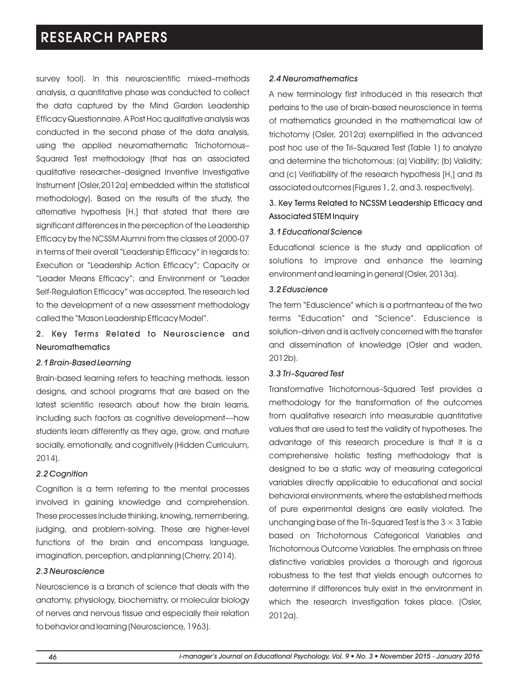survey tool). In this neuroscientific mixed–methods analysis, a quantitative phase was conducted to collect the data captured by the Mind Garden Leadership Efficacy Questionnaire. A Post Hoc qualitative analysis was conducted in the second phase of the data analysis, using the applied neuromathematic Trichotomous– Squared Test methodology (that has an associated qualitative researcher–designed Inventive Investigative Instrument [Osler,2012a] embedded within the statistical methodology). Based on the results of the study, the alternative hypothesis  $[H_1]$  that stated that there are significant differences in the perception of the Leadership Efficacy by the NCSSM Alumni from the classes of 2000-07 in terms of their overall "Leadership Efficacy" in regards to: Execution or "Leadership Action Efficacy"; Capacity or "Leader Means Efficacy"; and Environment or "Leader Self-Regulation Efficacy" was accepted. The research led to the development of a new assessment methodology called the "Mason Leadership Efficacy Model".

### 2. Key Terms Related to Neuroscience and Neuromathematics

#### *2.1 Brain-Based Learning*

Brain-based learning refers to teaching methods, lesson designs, and school programs that are based on the latest scientific research about how the brain learns, including such factors as cognitive development—how students learn differently as they age, grow, and mature socially, emotionally, and cognitively (Hidden Curriculum, 2014).

#### *2.2 Cognition*

Cognition is a term referring to the mental processes involved in gaining knowledge and comprehension. These processes include thinking, knowing, remembering, judging, and problem-solving. These are higher-level functions of the brain and encompass language, imagination, perception, and planning (Cherry, 2014).

#### *2.3 Neuroscience*

Neuroscience is a branch of science that deals with the anatomy, physiology, biochemistry, or molecular biology of nerves and nervous tissue and especially their relation to behavior and learning (Neuroscience, 1963).

### *2.4 Neuromathematics*

A new terminology first introduced in this research that pertains to the use of brain-based neuroscience in terms of mathematics grounded in the mathematical law of trichotomy (Osler, 2012a) exemplified in the advanced post hoc use of the Tri–Squared Test (Table 1) to analyze and determine the trichotomous: (a) Viability; (b) Validity; and (c) Verifiability of the research hypothesis  $[H_1]$  and its associated outcomes (Figures 1, 2, and 3. respectively).

### 3. Key Terms Related to NCSSM Leadership Efficacy and Associated STEM Inquiry

#### *3.1 Educational Science*

Educational science is the study and application of solutions to improve and enhance the learning environment and learning in general (Osler, 2013a).

#### *3.2 Eduscience*

The term "Eduscience" which is a portmanteau of the two terms "Education" and "Science". Eduscience is solution–driven and is actively concerned with the transfer and dissemination of knowledge (Osler and waden, 2012b).

#### *3.3 Tri–Squared Test*

Transformative Trichotomous–Squared Test provides a methodology for the transformation of the outcomes from qualitative research into measurable quantitative values that are used to test the validity of hypotheses. The advantage of this research procedure is that it is a comprehensive holistic testing methodology that is designed to be a static way of measuring categorical variables directly applicable to educational and social behavioral environments, where the established methods of pure experimental designs are easily violated. The unchanging base of the Tri–Squared Test is the  $3 \times 3$  Table based on Trichotomous Categorical Variables and Trichotomous Outcome Variables. The emphasis on three distinctive variables provides a thorough and rigorous robustness to the test that yields enough outcomes to determine if differences truly exist in the environment in which the research investigation takes place. (Osler, 2012a).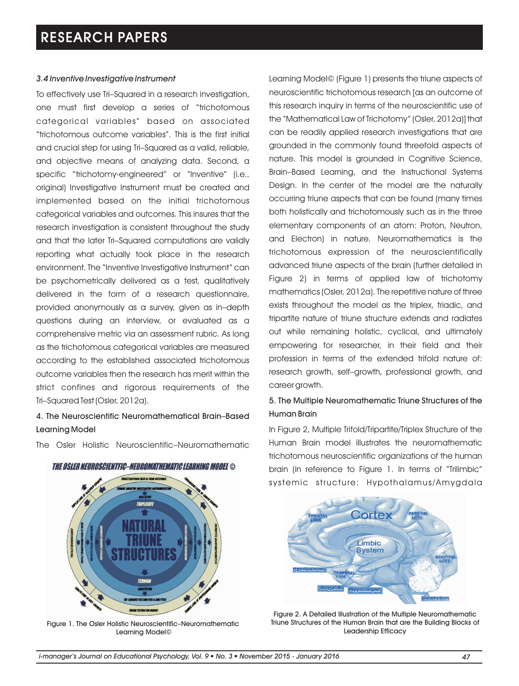#### *3.4 Inventive Investigative Instrument*

To effectively use Tri–Squared in a research investigation, one must first develop a series of "trichotomous categorical variables" based on associated "trichotomous outcome variables". This is the first initial and crucial step for using Tri–Squared as a valid, reliable, and objective means of analyzing data. Second, a specific "trichotomy-engineered" or "Inventive" (i.e., original) Investigative Instrument must be created and implemented based on the initial trichotomous categorical variables and outcomes. This insures that the research investigation is consistent throughout the study and that the later Tri–Squared computations are validly reporting what actually took place in the research environment. The "Inventive Investigative Instrument" can be psychometrically delivered as a test, qualitatively delivered in the form of a research questionnaire, provided anonymously as a survey, given as in–depth questions during an interview, or evaluated as a comprehensive metric via an assessment rubric. As long as the trichotomous categorical variables are measured according to the established associated trichotomous outcome variables then the research has merit within the strict confines and rigorous requirements of the Tri–Squared Test (Osler, 2012a).

### 4. The Neuroscientific Neuromathematical Brain–Based Learning Model

The Osler Holistic Neuroscientific–Neuromathematic



Figure 1. The Osler Holistic Neuroscientific–Neuromathematic Learning Model©

Learning Model© (Figure 1) presents the triune aspects of neuroscientific trichotomous research [as an outcome of this research inquiry in terms of the neuroscientific use of the "Mathematical Law of Trichotomy" (Osler, 2012a)] that can be readily applied research investigations that are grounded in the commonly found threefold aspects of nature. This model is grounded in Cognitive Science, Brain–Based Learning, and the Instructional Systems Design. In the center of the model are the naturally occurring triune aspects that can be found (many times both holistically and trichotomously such as in the three elementary components of an atom: Proton, Neutron, and Electron) in nature. Neuromathematics is the trichotomous expression of the neuroscientifically advanced triune aspects of the brain (further detailed in Figure 2) in terms of applied law of trichotomy mathematics (Osler, 2012a). The repetitive nature of three exists throughout the model as the triplex, triadic, and tripartite nature of triune structure extends and radiates out while remaining holistic, cyclical, and ultimately empowering for researcher, in their field and their profession in terms of the extended trifold nature of: research growth, self–growth, professional growth, and career growth.

### 5. The Multiple Neuromathematic Triune Structures of the Human Brain

In Figure 2, Multiple Trifold/Tripartite/Triplex Structure of the Human Brain model illustrates the neuromathematic trichotomous neuroscientific organizations of the human brain (in reference to Figure 1. In terms of "Trilimbic" systemic structure: Hypothalamus/Amygdala



Figure 2. A Detailed Illustration of the Multiple Neuromathematic Triune Structures of the Human Brain that are the Building Blocks of Leadership Efficacy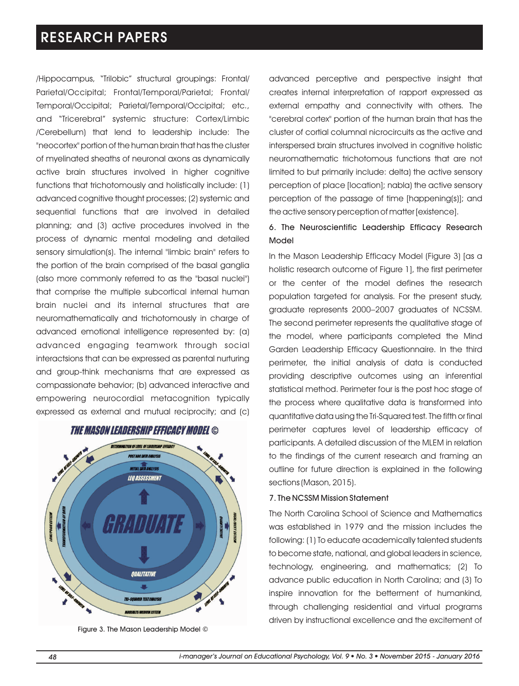/Hippocampus, "Trilobic" structural groupings: Frontal/ Parietal/Occipital; Frontal/Temporal/Parietal; Frontal/ Temporal/Occipital; Parietal/Temporal/Occipital; etc., and "Tricerebral" systemic structure: Cortex/Limbic /Cerebellum) that lend to leadership include: The "neocortex" portion of the human brain that has the cluster of myelinated sheaths of neuronal axons as dynamically active brain structures involved in higher cognitive functions that trichotomously and holistically include: (1) advanced cognitive thought processes; (2) systemic and sequential functions that are involved in detailed planning; and (3) active procedures involved in the process of dynamic mental modeling and detailed sensory simulation(s). The internal "limbic brain" refers to the portion of the brain comprised of the basal ganglia (also more commonly referred to as the "basal nuclei") that comprise the multiple subcortical internal human brain nuclei and its internal structures that are neuromathematically and trichotomously in charge of advanced emotional intelligence represented by: (a) advanced engaging teamwork through social interactsions that can be expressed as parental nurturing and group-think mechanisms that are expressed as compassionate behavior; (b) advanced interactive and empowering neurocordial metacognition typically expressed as external and mutual reciprocity; and (c)





Figure 3. The Mason Leadership Model ©

advanced perceptive and perspective insight that creates internal interpretation of rapport expressed as external empathy and connectivity with others. The "cerebral cortex" portion of the human brain that has the cluster of cortial columnal nicrocircuits as the active and interspersed brain structures involved in cognitive holistic neuromathematic trichotomous functions that are not limited to but primarily include: delta) the active sensory perception of place [location]; nabla) the active sensory perception of the passage of time [happening(s)]; and the active sensory perception of matter [existence].

### 6. The Neuroscientific Leadership Efficacy Research Model

In the Mason Leadership Efficacy Model (Figure 3) [as a holistic research outcome of Figure 1], the first perimeter or the center of the model defines the research population targeted for analysis. For the present study, graduate represents 2000–2007 graduates of NCSSM. The second perimeter represents the qualitative stage of the model, where participants completed the Mind Garden Leadership Efficacy Questionnaire. In the third perimeter, the initial analysis of data is conducted providing descriptive outcomes using an inferential statistical method. Perimeter four is the post hoc stage of the process where qualitative data is transformed into quantitative data using the Tri-Squared test. The fifth or final perimeter captures level of leadership efficacy of participants. A detailed discussion of the MLEM in relation to the findings of the current research and framing an outline for future direction is explained in the following sections (Mason, 2015).

#### 7. The NCSSM Mission Statement

The North Carolina School of Science and Mathematics was established in 1979 and the mission includes the following: (1) To educate academically talented students to become state, national, and global leaders in science, technology, engineering, and mathematics; (2) To advance public education in North Carolina; and (3) To inspire innovation for the betterment of humankind, through challenging residential and virtual programs driven by instructional excellence and the excitement of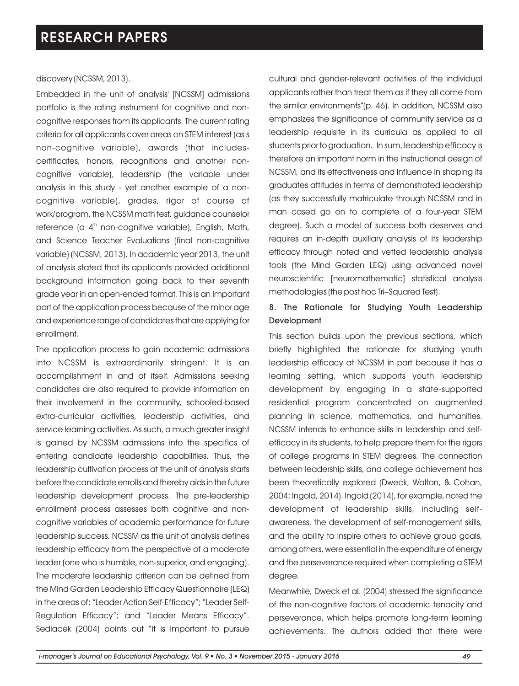#### discovery (NCSSM, 2013).

Embedded in the unit of analysis' [NCSSM] admissions portfolio is the rating instrument for cognitive and noncognitive responses from its applicants. The current rating criteria for all applicants cover areas on STEM interest (as s non-cognitive variable), awards (that includescertificates, honors, recognitions and another noncognitive variable), leadership (the variable under analysis in this study - yet another example of a noncognitive variable), grades, rigor of course of work/program, the NCSSM math test, guidance counselor reference (a 4<sup>th</sup> non-cognitive variable), English, Math, and Science Teacher Evaluations (final non-cognitive variable) (NCSSM, 2013). In academic year 2013, the unit of analysis stated that its applicants provided additional background information going back to their seventh grade year in an open-ended format. This is an important part of the application process because of the minor age and experience range of candidates that are applying for enrollment.

The application process to gain academic admissions into NCSSM is extraordinarily stringent. It is an accomplishment in and of itself. Admissions seeking candidates are also required to provide information on their involvement in the community, schooled-based extra-curricular activities, leadership activities, and service learning activities. As such, a much greater insight is gained by NCSSM admissions into the specifics of entering candidate leadership capabilities. Thus, the leadership cultivation process at the unit of analysis starts before the candidate enrolls and thereby aids in the future leadership development process. The pre-leadership enrollment process assesses both cognitive and noncognitive variables of academic performance for future leadership success. NCSSM as the unit of analysis defines leadership efficacy from the perspective of a moderate leader (one who is humble, non-superior, and engaging). The moderate leadership criterion can be defined from the Mind Garden Leadership Efficacy Questionnaire (LEQ) in the areas of: "Leader Action Self-Efficacy"; "Leader Self-Regulation Efficacy"; and "Leader Means Efficacy". Sedlacek (2004) points out "it is important to pursue cultural and gender-relevant activities of the individual applicants rather than treat them as if they all come from the similar environments"(p. 46). In addition, NCSSM also emphasizes the significance of community service as a leadership requisite in its curricula as applied to all students prior to graduation. In sum, leadership efficacy is therefore an important norm in the instructional design of NCSSM, and its effectiveness and influence in shaping its graduates attitudes in terms of demonstrated leadership (as they successfully matriculate through NCSSM and in man cased go on to complete of a four-year STEM degree). Such a model of success both deserves and requires an in-depth auxiliary analysis of its leadership efficacy through noted and vetted leadership analysis tools (the Mind Garden LEQ) using advanced novel neuroscientific [neuromathematic] statistical analysis methodologies (the post hoc Tri–Squared Test).

### 8. The Rationale for Studying Youth Leadership **Development**

This section builds upon the previous sections, which briefly highlighted the rationale for studying youth leadership efficacy at NCSSM in part because it has a learning setting, which supports youth leadership development by engaging in a state-supported residential program concentrated on augmented planning in science, mathematics, and humanities. NCSSM intends to enhance skills in leadership and selfefficacy in its students, to help prepare them for the rigors of college programs in STEM degrees. The connection between leadership skills, and college achievement has been theoretically explored (Dweck, Walton, & Cohan, 2004; Ingold, 2014). Ingold (2014), for example, noted the development of leadership skills, including selfawareness, the development of self-management skills, and the ability to inspire others to achieve group goals, among others, were essential in the expenditure of energy and the perseverance required when completing a STEM degree.

Meanwhile, Dweck et al. (2004) stressed the significance of the non-cognitive factors of academic tenacity and perseverance, which helps promote long-term learning achievements. The authors added that there were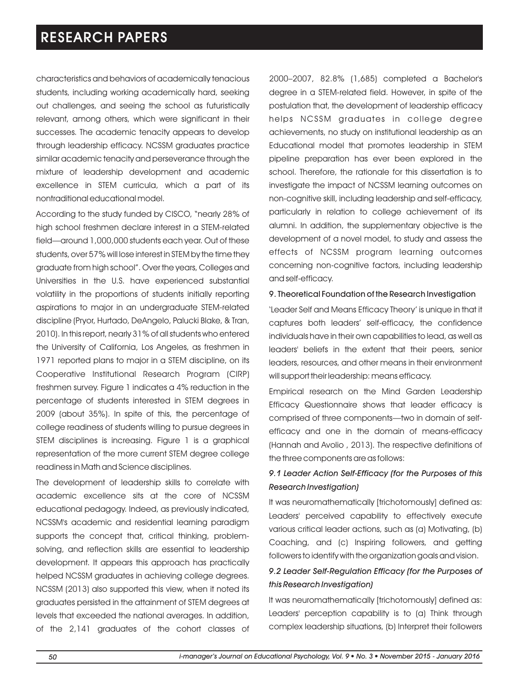characteristics and behaviors of academically tenacious students, including working academically hard, seeking out challenges, and seeing the school as futuristically relevant, among others, which were significant in their successes. The academic tenacity appears to develop through leadership efficacy. NCSSM graduates practice similar academic tenacity and perseverance through the mixture of leadership development and academic excellence in STEM curricula, which a part of its nontraditional educational model.

According to the study funded by CISCO, "nearly 28% of high school freshmen declare interest in a STEM-related field—around 1,000,000 students each year. Out of these students, over 57% will lose interest in STEM by the time they graduate from high school". Over the years, Colleges and Universities in the U.S. have experienced substantial volatility in the proportions of students initially reporting aspirations to major in an undergraduate STEM-related discipline (Pryor, Hurtado, DeAngelo, Palucki Blake, & Tran, 2010). In this report, nearly 31% of all students who entered the University of California, Los Angeles, as freshmen in 1971 reported plans to major in a STEM discipline, on its Cooperative Institutional Research Program (CIRP) freshmen survey. Figure 1 indicates a 4% reduction in the percentage of students interested in STEM degrees in 2009 (about 35%). In spite of this, the percentage of college readiness of students willing to pursue degrees in STEM disciplines is increasing. Figure 1 is a graphical representation of the more current STEM degree college readiness in Math and Science disciplines.

The development of leadership skills to correlate with academic excellence sits at the core of NCSSM educational pedagogy. Indeed, as previously indicated, NCSSM's academic and residential learning paradigm supports the concept that, critical thinking, problemsolving, and reflection skills are essential to leadership development. It appears this approach has practically helped NCSSM graduates in achieving college degrees. NCSSM (2013) also supported this view, when it noted its graduates persisted in the attainment of STEM degrees at levels that exceeded the national averages. In addition, of the 2,141 graduates of the cohort classes of

2000–2007, 82.8% (1,685) completed a Bachelor's degree in a STEM-related field. However, in spite of the postulation that, the development of leadership efficacy helps NCSSM graduates in college degree achievements, no study on institutional leadership as an Educational model that promotes leadership in STEM pipeline preparation has ever been explored in the school. Therefore, the rationale for this dissertation is to investigate the impact of NCSSM learning outcomes on non-cognitive skill, including leadership and self-efficacy, particularly in relation to college achievement of its alumni. In addition, the supplementary objective is the development of a novel model, to study and assess the effects of NCSSM program learning outcomes concerning non-cognitive factors, including leadership and self-efficacy.

#### 9. Theoretical Foundation of the Research Investigation

'Leader Self and Means Efficacy Theory' is unique in that it captures both leaders' self-efficacy, the confidence individuals have in their own capabilities to lead, as well as leaders' beliefs in the extent that their peers, senior leaders, resources, and other means in their environment will support their leadership: means efficacy.

Empirical research on the Mind Garden Leadership Efficacy Questionnaire shows that leader efficacy is comprised of three components—two in domain of selfefficacy and one in the domain of means-efficacy (Hannah and Avolio , 2013). The respective definitions of the three components are as follows:

### *9.1 Leader Action Self-Efficacy (for the Purposes of this Research Investigation)*

It was neuromathematically [trichotomously] defined as: Leaders' perceived capability to effectively execute various critical leader actions, such as (a) Motivating, (b) Coaching, and (c) Inspiring followers, and getting followers to identify with the organization goals and vision.

### *9.2 Leader Self-Regulation Efficacy (for the Purposes of this Research Investigation)*

It was neuromathematically [trichotomously] defined as: Leaders' perception capability is to (a) Think through complex leadership situations, (b) Interpret their followers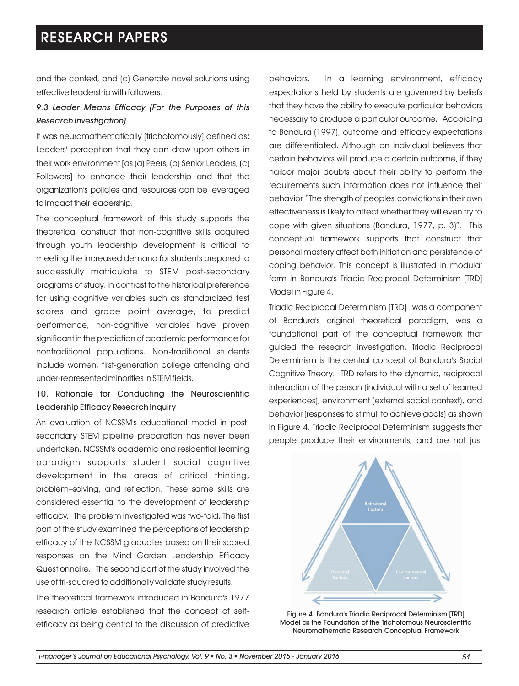and the context, and (c) Generate novel solutions using effective leadership with followers.

### *9.3 Leader Means Efficacy (For the Purposes of this Research Investigation)*

It was neuromathematically [trichotomously] defined as: Leaders' perception that they can draw upon others in their work environment [as (a) Peers, (b) Senior Leaders, (c) Followers] to enhance their leadership and that the organization's policies and resources can be leveraged to impact their leadership.

The conceptual framework of this study supports the theoretical construct that non-cognitive skills acquired through youth leadership development is critical to meeting the increased demand for students prepared to successfully matriculate to STEM post-secondary programs of study. In contrast to the historical preference for using cognitive variables such as standardized test scores and grade point average, to predict performance, non-cognitive variables have proven significant in the prediction of academic performance for nontraditional populations. Non-traditional students include women, first-generation college attending and under-represented minorities in STEM fields.

### 10. Rationale for Conducting the Neuroscientific Leadership Efficacy Research Inquiry

An evaluation of NCSSM's educational model in postsecondary STEM pipeline preparation has never been undertaken. NCSSM's academic and residential learning paradigm supports student social cognitive development in the areas of critical thinking, problem–solving, and reflection. These same skills are considered essential to the development of leadership efficacy. The problem investigated was two-fold. The first part of the study examined the perceptions of leadership efficacy of the NCSSM graduates based on their scored responses on the Mind Garden Leadership Efficacy Questionnaire. The second part of the study involved the use of tri-squared to additionally validate study results.

The theoretical framework introduced in Bandura's 1977 research article established that the concept of selfefficacy as being central to the discussion of predictive behaviors. In a learning environment, efficacy expectations held by students are governed by beliefs that they have the ability to execute particular behaviors necessary to produce a particular outcome. According to Bandura (1997), outcome and efficacy expectations are differentiated. Although an individual believes that certain behaviors will produce a certain outcome, if they harbor major doubts about their ability to perform the requirements such information does not influence their behavior. "The strength of peoples' convictions in their own effectiveness is likely to affect whether they will even try to cope with given situations (Bandura, 1977, p. 3)". This conceptual framework supports that construct that personal mastery affect both initiation and persistence of coping behavior. This concept is illustrated in modular form in Bandura's Triadic Reciprocal Determinism [TRD] Model in Figure 4.

Triadic Reciprocal Determinism [TRD] was a component of Bandura's original theoretical paradigm, was a foundational part of the conceptual framework that guided the research investigation. Triadic Reciprocal Determinism is the central concept of Bandura's Social Cognitive Theory. TRD refers to the dynamic, reciprocal interaction of the person (individual with a set of learned experiences), environment (external social context), and behavior (responses to stimuli to achieve goals) as shown in Figure 4. Triadic Reciprocal Determinism suggests that people produce their environments, and are not just



Figure 4. Bandura's Triadic Reciprocal Determinism [TRD] Model as the Foundation of the Trichotomous Neuroscientific Neuromathematic Research Conceptual Framework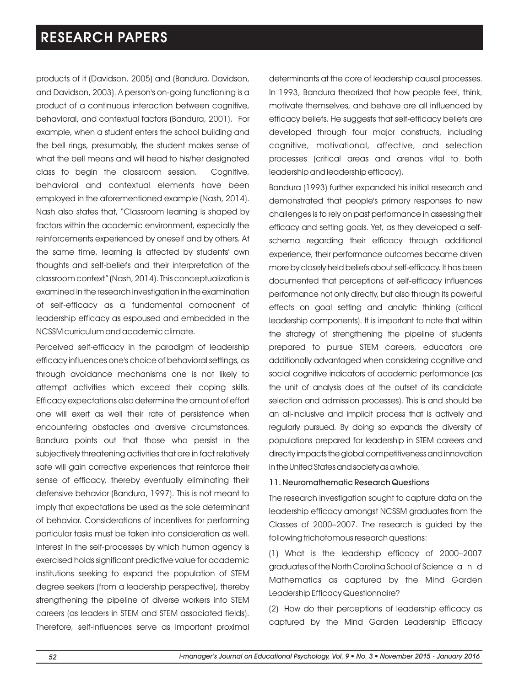products of it (Davidson, 2005) and (Bandura, Davidson, and Davidson, 2003). A person's on-going functioning is a product of a continuous interaction between cognitive, behavioral, and contextual factors (Bandura, 2001). For example, when a student enters the school building and the bell rings, presumably, the student makes sense of what the bell means and will head to his/her designated class to begin the classroom session. Cognitive, behavioral and contextual elements have been employed in the aforementioned example (Nash, 2014). Nash also states that, "Classroom learning is shaped by factors within the academic environment, especially the reinforcements experienced by oneself and by others. At the same time, learning is affected by students' own thoughts and self-beliefs and their interpretation of the classroom context" (Nash, 2014). This conceptualization is examined in the research investigation in the examination of self-efficacy as a fundamental component of leadership efficacy as espoused and embedded in the NCSSM curriculum and academic climate.

Perceived self-efficacy in the paradigm of leadership efficacy influences one's choice of behavioral settings, as through avoidance mechanisms one is not likely to attempt activities which exceed their coping skills. Efficacy expectations also determine the amount of effort one will exert as well their rate of persistence when encountering obstacles and aversive circumstances. Bandura points out that those who persist in the subjectively threatening activities that are in fact relatively safe will gain corrective experiences that reinforce their sense of efficacy, thereby eventually eliminating their defensive behavior (Bandura, 1997). This is not meant to imply that expectations be used as the sole determinant of behavior. Considerations of incentives for performing particular tasks must be taken into consideration as well. Interest in the self-processes by which human agency is exercised holds significant predictive value for academic institutions seeking to expand the population of STEM degree seekers (from a leadership perspective), thereby strengthening the pipeline of diverse workers into STEM careers (as leaders in STEM and STEM associated fields). Therefore, self-influences serve as important proximal determinants at the core of leadership causal processes. In 1993, Bandura theorized that how people feel, think, motivate themselves, and behave are all influenced by efficacy beliefs. He suggests that self-efficacy beliefs are developed through four major constructs, including cognitive, motivational, affective, and selection processes (critical areas and arenas vital to both leadership and leadership efficacy).

Bandura (1993) further expanded his initial research and demonstrated that people's primary responses to new challenges is to rely on past performance in assessing their efficacy and setting goals. Yet, as they developed a selfschema regarding their efficacy through additional experience, their performance outcomes became driven more by closely held beliefs about self-efficacy. It has been documented that perceptions of self-efficacy influences performance not only directly, but also through its powerful effects on goal setting and analytic thinking (critical leadership components). It is important to note that within the strategy of strengthening the pipeline of students prepared to pursue STEM careers, educators are additionally advantaged when considering cognitive and social cognitive indicators of academic performance (as the unit of analysis does at the outset of its candidate selection and admission processes). This is and should be an all-inclusive and implicit process that is actively and regularly pursued. By doing so expands the diversity of populations prepared for leadership in STEM careers and directly impacts the global competitiveness and innovation in the United States and society as a whole.

#### 11. Neuromathematic Research Questions

The research investigation sought to capture data on the leadership efficacy amongst NCSSM graduates from the Classes of 2000–2007. The research is guided by the following trichotomous research questions:

(1) What is the leadership efficacy of 2000–2007 graduates of the North Carolina School of Science a n d Mathematics as captured by the Mind Garden Leadership Efficacy Questionnaire?

(2) How do their perceptions of leadership efficacy as captured by the Mind Garden Leadership Efficacy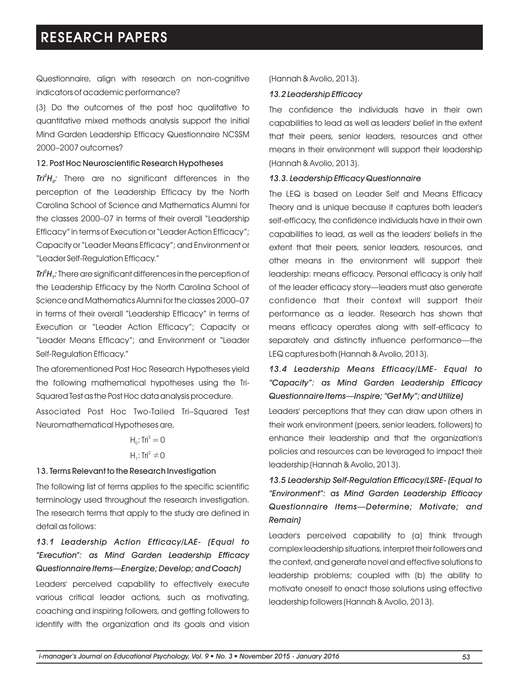Questionnaire, align with research on non-cognitive indicators of academic performance?

(3) Do the outcomes of the post hoc qualitative to quantitative mixed methods analysis support the initial Mind Garden Leadership Efficacy Questionnaire NCSSM 2000–2007 outcomes?

#### 12. Post Hoc Neuroscientific Research Hypotheses

*2 Tri H :* There are no significant differences in the *<sup>0</sup>* perception of the Leadership Efficacy by the North Carolina School of Science and Mathematics Alumni for the classes 2000–07 in terms of their overall "Leadership Efficacy" in terms of Execution or "Leader Action Efficacy"; Capacity or "Leader Means Efficacy"; and Environment or "Leader Self-Regulation Efficacy."

*2 Tri H :*There are significant differences in the perception of *<sup>1</sup>* the Leadership Efficacy by the North Carolina School of Science and Mathematics Alumni for the classes 2000–07 in terms of their overall "Leadership Efficacy" in terms of Execution or "Leader Action Efficacy"; Capacity or "Leader Means Efficacy"; and Environment or "Leader Self-Regulation Efficacy."

The aforementioned Post Hoc Research Hypotheses yield the following mathematical hypotheses using the Tri-Squared Test as the Post Hoc data analysis procedure.

Associated Post Hoc Two-Tailed Tri–Squared Test Neuromathematical Hypotheses are,

### $H_0$ : Tri $^2 = 0$  $H_1$ : Tri $^2 \neq 0$

#### 13. Terms Relevant to the Research Investigation

The following list of terms applies to the specific scientific terminology used throughout the research investigation. The research terms that apply to the study are defined in detail as follows:

### *13.1 Leadership Action Efficacy/LAE- (Equal to "Execution": as Mind Garden Leadership Efficacy Questionnaire Items—Energize; Develop; and Coach)*

Leaders' perceived capability to effectively execute various critical leader actions, such as motivating, coaching and inspiring followers, and getting followers to identify with the organization and its goals and vision

#### (Hannah & Avolio, 2013).

#### *13.2 Leadership Efficacy*

The confidence the individuals have in their own capabilities to lead as well as leaders' belief in the extent that their peers, senior leaders, resources and other means in their environment will support their leadership (Hannah & Avolio, 2013).

#### *13.3. Leadership Efficacy Questionnaire*

The LEQ is based on Leader Self and Means Efficacy Theory and is unique because it captures both leader's self-efficacy, the confidence individuals have in their own capabilities to lead, as well as the leaders' beliefs in the extent that their peers, senior leaders, resources, and other means in the environment will support their leadership: means efficacy. Personal efficacy is only half of the leader efficacy story—leaders must also generate confidence that their context will support their performance as a leader. Research has shown that means efficacy operates along with self-efficacy to separately and distinctly influence performance—the LEQ captures both (Hannah & Avolio, 2013).

### *13.4 Leadership Means Efficacy/LME- Equal to "Capacity": as Mind Garden Leadership Efficacy Questionnaire Items—Inspire; "Get My"; and Utilize)*

Leaders' perceptions that they can draw upon others in their work environment (peers, senior leaders, followers) to enhance their leadership and that the organization's policies and resources can be leveraged to impact their leadership (Hannah & Avolio, 2013).

### *13.5 Leadership Self-Regulation Efficacy/LSRE- (Equal to "Environment": as Mind Garden Leadership Efficacy Questionnaire Items—Determine; Motivate; and Remain)*

Leader's perceived capability to (a) think through complex leadership situations, interpret their followers and the context, and generate novel and effective solutions to leadership problems; coupled with (b) the ability to motivate oneself to enact those solutions using effective leadership followers (Hannah & Avolio, 2013).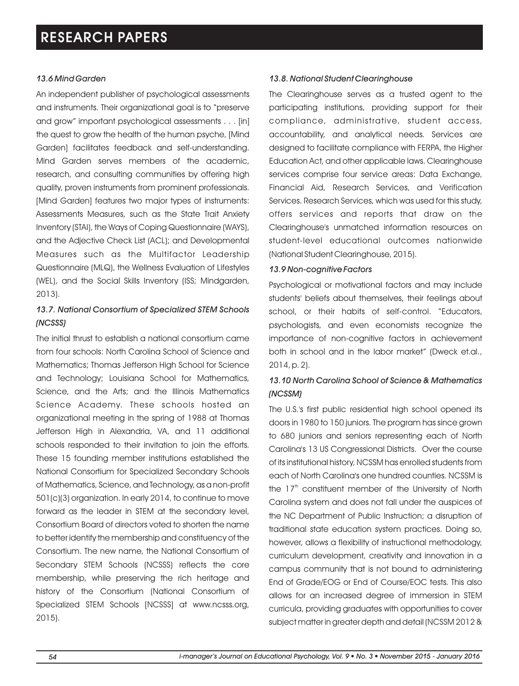### *13.6 Mind Garden*

An independent publisher of psychological assessments and instruments. Their organizational goal is to "preserve and grow" important psychological assessments . . . [in] the quest to grow the health of the human psyche, [Mind Garden] facilitates feedback and self-understanding. Mind Garden serves members of the academic, research, and consulting communities by offering high quality, proven instruments from prominent professionals. [Mind Garden] features two major types of instruments: Assessments Measures, such as the State Trait Anxiety Inventory (STAI), the Ways of Coping Questionnaire (WAYS), and the Adjective Check List (ACL); and Developmental Measures such as the Multifactor Leadership Questionnaire (MLQ), the Wellness Evaluation of Lifestyles (WEL), and the Social Skills Inventory (ISS; Mindgarden, 2013).

### *13.7. National Consortium of Specialized STEM Schools (NCSSS)*

The initial thrust to establish a national consortium came from four schools: North Carolina School of Science and Mathematics; Thomas Jefferson High School for Science and Technology; Louisiana School for Mathematics, Science, and the Arts; and the Illinois Mathematics Science Academy. These schools hosted an organizational meeting in the spring of 1988 at Thomas Jefferson High in Alexandria, VA, and 11 additional schools responded to their invitation to join the efforts. These 15 founding member institutions established the National Consortium for Specialized Secondary Schools of Mathematics, Science, and Technology, as a non-profit 501(c)(3) organization. In early 2014, to continue to move forward as the leader in STEM at the secondary level, Consortium Board of directors voted to shorten the name to better identify the membership and constituency of the Consortium. The new name, the National Consortium of Secondary STEM Schools (NCSSS) reflects the core membership, while preserving the rich heritage and history of the Consortium (National Consortium of Specialized STEM Schools [NCSSS] at www.ncsss.org, 2015).

### *13.8. National Student Clearinghouse*

The Clearinghouse serves as a trusted agent to the participating institutions, providing support for their compliance, administrative, student access, accountability, and analytical needs. Services are designed to facilitate compliance with FERPA, the Higher Education Act, and other applicable laws. Clearinghouse services comprise four service areas: Data Exchange, Financial Aid, Research Services, and Verification Services. Research Services, which was used for this study, offers services and reports that draw on the Clearinghouse's unmatched information resources on student-level educational outcomes nationwide (National Student Clearinghouse, 2015).

#### *13.9 Non-cognitive Factors*

Psychological or motivational factors and may include students' beliefs about themselves, their feelings about school, or their habits of self-control. "Educators, psychologists, and even economists recognize the importance of non-cognitive factors in achievement both in school and in the labor market" (Dweck et.al., 2014, p. 2).

### *13.10 North Carolina School of Science & Mathematics (NCSSM)*

The U.S.'s first public residential high school opened its doors in 1980 to 150 juniors. The program has since grown to 680 juniors and seniors representing each of North Carolina's 13 US Congressional Districts. Over the course of its institutional history, NCSSM has enrolled students from each of North Carolina's one hundred counties. NCSSM is the  $17<sup>th</sup>$  constituent member of the University of North Carolina system and does not fall under the auspices of the NC Department of Public Instruction; a disruption of traditional state education system practices. Doing so, however, allows a flexibility of instructional methodology, curriculum development, creativity and innovation in a campus community that is not bound to administering End of Grade/EOG or End of Course/EOC tests. This also allows for an increased degree of immersion in STEM curricula, providing graduates with opportunities to cover subject matter in greater depth and detail (NCSSM 2012 &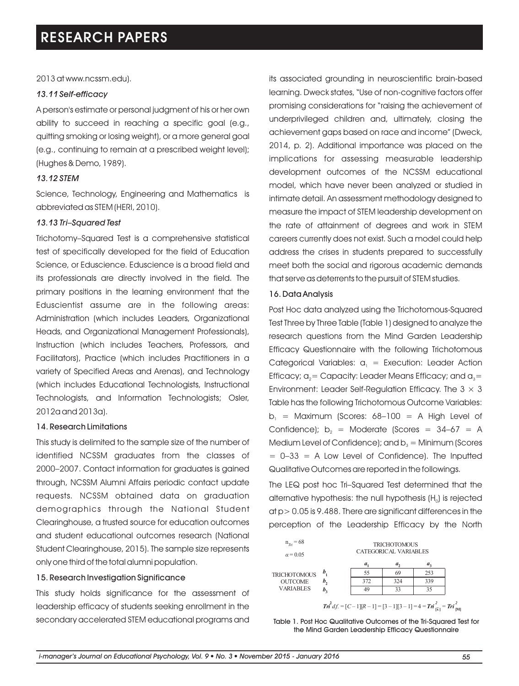2013 at www.ncssm.edu).

#### *13.11 Self-efficacy*

A person's estimate or personal judgment of his or her own ability to succeed in reaching a specific goal (e.g., quitting smoking or losing weight), or a more general goal (e.g., continuing to remain at a prescribed weight level); (Hughes & Demo, 1989).

#### *13.12 STEM*

Science, Technology, Engineering and Mathematics is abbreviated as STEM (HERI, 2010).

#### *13.13 Tri–Squared Test*

Trichotomy–Squared Test is a comprehensive statistical test of specifically developed for the field of Education Science, or Eduscience. Eduscience is a broad field and its professionals are directly involved in the field. The primary positions in the learning environment that the Eduscientist assume are in the following areas: Administration (which includes Leaders, Organizational Heads, and Organizational Management Professionals), Instruction (which includes Teachers, Professors, and Facilitators), Practice (which includes Practitioners in a variety of Specified Areas and Arenas), and Technology (which includes Educational Technologists, Instructional Technologists, and Information Technologists; Osler, 2012a and 2013a).

#### 14. Research Limitations

This study is delimited to the sample size of the number of identified NCSSM graduates from the classes of 2000–2007. Contact information for graduates is gained through, NCSSM Alumni Affairs periodic contact update requests. NCSSM obtained data on graduation demographics through the National Student Clearinghouse, a trusted source for education outcomes and student educational outcomes research (National Student Clearinghouse, 2015). The sample size represents only one third of the total alumni population.

#### 15. Research Investigation Significance

This study holds significance for the assessment of leadership efficacy of students seeking enrollment in the secondary accelerated STEM educational programs and its associated grounding in neuroscientific brain-based learning. Dweck states, "Use of non-cognitive factors offer promising considerations for "raising the achievement of underprivileged children and, ultimately, closing the achievement gaps based on race and income" (Dweck, 2014, p. 2). Additional importance was placed on the implications for assessing measurable leadership development outcomes of the NCSSM educational model, which have never been analyzed or studied in intimate detail. An assessment methodology designed to measure the impact of STEM leadership development on the rate of attainment of degrees and work in STEM careers currently does not exist. Such a model could help address the crises in students prepared to successfully meet both the social and rigorous academic demands that serve as deterrents to the pursuit of STEM studies.

#### 16. Data Analysis

Post Hoc data analyzed using the Trichotomous-Squared Test Three by Three Table (Table 1) designed to analyze the research questions from the Mind Garden Leadership Efficacy Questionnaire with the following Trichotomous Categorical Variables:  $a_1$  = Execution: Leader Action Efficacy;  $a_2$  = Capacity: Leader Means Efficacy; and  $a_3$  = Environment: Leader Self-Regulation Efficacy. The  $3 \times 3$ Table has the following Trichotomous Outcome Variables:  $b_1$  = Maximum (Scores: 68-100 = A High Level of Confidence);  $b_2$  = Moderate (Scores = 34–67 = A Medium Level of Confidence); and  $b_3 =$  Minimum (Scores  $= 0-33 = A$  Low Level of Confidence). The Inputted Qualitative Outcomes are reported in the followings.

The LEQ post hoc Tri–Squared Test determined that the alternative hypothesis: the null hypothesis  $(H<sub>o</sub>)$  is rejected at p> 0.05 is 9.488. There are significant differences in the perception of the Leadership Efficacy by the North



Table 1. Post Hoc Qualitative Outcomes of the Tri-Squared Test for the Mind Garden Leadership Efficacy Questionnaire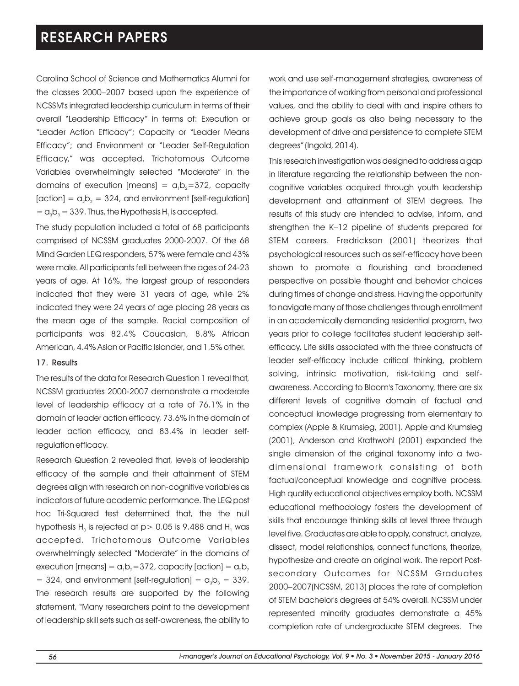Carolina School of Science and Mathematics Alumni for the classes 2000–2007 based upon the experience of NCSSM's integrated leadership curriculum in terms of their overall "Leadership Efficacy" in terms of: Execution or "Leader Action Efficacy"; Capacity or "Leader Means Efficacy"; and Environment or "Leader Self-Regulation Efficacy," was accepted. Trichotomous Outcome Variables overwhelmingly selected "Moderate" in the domains of execution [means] =  $a_1b_2=372$ , capacity [action] =  $a_2b_2$  = 324, and environment [self-regulation]  $= \alpha_3 b_3 = 339$ . Thus, the Hypothesis H<sub>1</sub> is accepted.

The study population included a total of 68 participants comprised of NCSSM graduates 2000-2007. Of the 68 Mind Garden LEQ responders, 57% were female and 43% were male. All participants fell between the ages of 24-23 years of age. At 16%, the largest group of responders indicated that they were 31 years of age, while 2% indicated they were 24 years of age placing 28 years as the mean age of the sample. Racial composition of participants was 82.4% Caucasian, 8.8% African American, 4.4% Asian or Pacific Islander, and 1.5% other.

#### 17. Results

The results of the data for Research Question 1 reveal that, NCSSM graduates 2000-2007 demonstrate a moderate level of leadership efficacy at a rate of 76.1% in the domain of leader action efficacy, 73.6% in the domain of leader action efficacy, and 83.4% in leader selfregulation efficacy.

Research Question 2 revealed that, levels of leadership efficacy of the sample and their attainment of STEM degrees align with research on non-cognitive variables as indicators of future academic performance. The LEQ post hoc Tri-Squared test determined that, the the null hypothesis H<sub>0</sub> is rejected at  $p > 0.05$  is 9.488 and H<sub>1</sub> was accepted. Trichotomous Outcome Variables overwhelmingly selected "Moderate" in the domains of execution [means] =  $a_1b_2=372$ , capacity [action] =  $a_2b_2$ = 324, and environment [self-regulation] =  $a<sub>a</sub>b<sub>a</sub>$  = 339. The research results are supported by the following statement, "Many researchers point to the development of leadership skill sets such as self-awareness, the ability to

work and use self-management strategies, awareness of the importance of working from personal and professional values, and the ability to deal with and inspire others to achieve group goals as also being necessary to the development of drive and persistence to complete STEM degrees" (Ingold, 2014).

This research investigation was designed to address a gap in literature regarding the relationship between the noncognitive variables acquired through youth leadership development and attainment of STEM degrees. The results of this study are intended to advise, inform, and strengthen the K–12 pipeline of students prepared for STEM careers. Fredrickson (2001) theorizes that psychological resources such as self-efficacy have been shown to promote a flourishing and broadened perspective on possible thought and behavior choices during times of change and stress. Having the opportunity to navigate many of those challenges through enrollment in an academically demanding residential program, two years prior to college facilitates student leadership selfefficacy. Life skills associated with the three constructs of leader self-efficacy include critical thinking, problem solving, intrinsic motivation, risk-taking and selfawareness. According to Bloom's Taxonomy, there are six different levels of cognitive domain of factual and conceptual knowledge progressing from elementary to complex (Apple & Krumsieg, 2001). Apple and Krumsieg (2001), Anderson and Krathwohl (2001) expanded the single dimension of the original taxonomy into a twodimensional framework consisting of both factual/conceptual knowledge and cognitive process. High quality educational objectives employ both. NCSSM educational methodology fosters the development of skills that encourage thinking skills at level three through level five. Graduates are able to apply, construct, analyze, dissect, model relationships, connect functions, theorize, hypothesize and create an original work. The report Postsecondary Outcomes for NCSSM Graduates 2000–2007(NCSSM, 2013) places the rate of completion of STEM bachelor's degrees at 54% overall. NCSSM under represented minority graduates demonstrate a 45% completion rate of undergraduate STEM degrees. The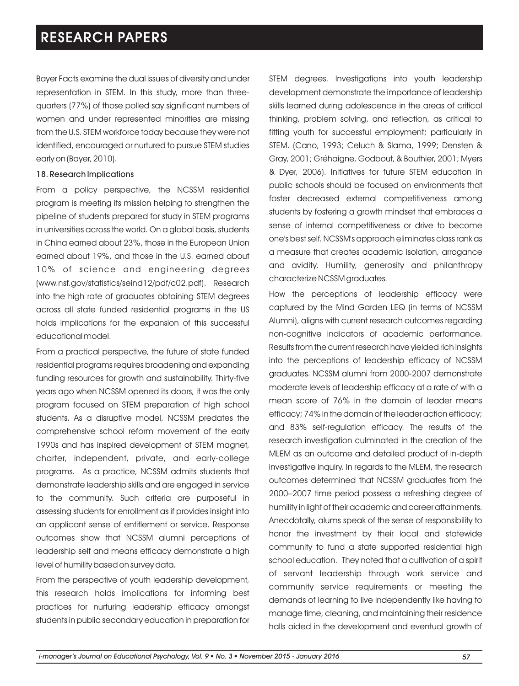Bayer Facts examine the dual issues of diversity and under representation in STEM. In this study, more than threequarters (77%) of those polled say significant numbers of women and under represented minorities are missing from the U.S. STEM workforce today because they were not identified, encouraged or nurtured to pursue STEM studies early on (Bayer, 2010).

#### 18. Research Implications

From a policy perspective, the NCSSM residential program is meeting its mission helping to strengthen the pipeline of students prepared for study in STEM programs in universities across the world. On a global basis, students in China earned about 23%, those in the European Union earned about 19%, and those in the U.S. earned about 10% of science and engineering degrees (www.nsf.gov/statistics/seind12/pdf/c02.pdf). Research into the high rate of graduates obtaining STEM degrees across all state funded residential programs in the US holds implications for the expansion of this successful educational model.

From a practical perspective, the future of state funded residential programs requires broadening and expanding funding resources for growth and sustainability. Thirty-five years ago when NCSSM opened its doors, it was the only program focused on STEM preparation of high school students. As a disruptive model, NCSSM predates the comprehensive school reform movement of the early 1990s and has inspired development of STEM magnet, charter, independent, private, and early-college programs. As a practice, NCSSM admits students that demonstrate leadership skills and are engaged in service to the community. Such criteria are purposeful in assessing students for enrollment as if provides insight into an applicant sense of entitlement or service. Response outcomes show that NCSSM alumni perceptions of leadership self and means efficacy demonstrate a high level of humility based on survey data.

From the perspective of youth leadership development, this research holds implications for informing best practices for nurturing leadership efficacy amongst students in public secondary education in preparation for STEM degrees. Investigations into youth leadership development demonstrate the importance of leadership skills learned during adolescence in the areas of critical thinking, problem solving, and reflection, as critical to fitting youth for successful employment; particularly in STEM. (Cano, 1993; Celuch & Slama, 1999; Densten & Gray, 2001; Gréhaigne, Godbout, & Bouthier, 2001; Myers & Dyer, 2006). Initiatives for future STEM education in public schools should be focused on environments that foster decreased external competitiveness among students by fostering a growth mindset that embraces a sense of internal competitiveness or drive to become one's best self. NCSSM's approach eliminates class rank as a measure that creates academic isolation, arrogance and avidity. Humility, generosity and philanthropy characterize NCSSM graduates.

How the perceptions of leadership efficacy were captured by the Mind Garden LEQ (in terms of NCSSM Alumni), aligns with current research outcomes regarding non-cognitive indicators of academic performance. Results from the current research have yielded rich insights into the perceptions of leadership efficacy of NCSSM graduates. NCSSM alumni from 2000-2007 demonstrate moderate levels of leadership efficacy at a rate of with a mean score of 76% in the domain of leader means efficacy; 74% in the domain of the leader action efficacy; and 83% self-regulation efficacy. The results of the research investigation culminated in the creation of the MLEM as an outcome and detailed product of in-depth investigative inquiry. In regards to the MLEM, the research outcomes determined that NCSSM graduates from the 2000–2007 time period possess a refreshing degree of humility in light of their academic and career attainments. Anecdotally, alums speak of the sense of responsibility to honor the investment by their local and statewide community to fund a state supported residential high school education. They noted that a cultivation of a spirit of servant leadership through work service and community service requirements or meeting the demands of learning to live independently like having to manage time, cleaning, and maintaining their residence halls aided in the development and eventual growth of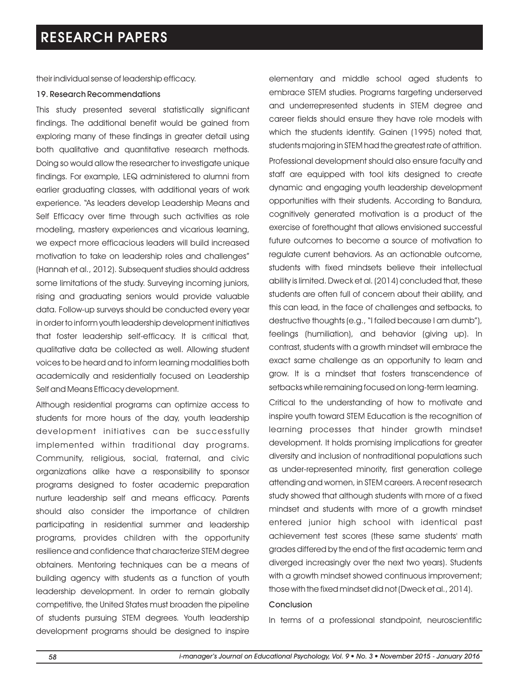their individual sense of leadership efficacy.

#### 19. Research Recommendations

This study presented several statistically significant findings. The additional benefit would be gained from exploring many of these findings in greater detail using both qualitative and quantitative research methods. Doing so would allow the researcher to investigate unique findings. For example, LEQ administered to alumni from earlier graduating classes, with additional years of work experience. "As leaders develop Leadership Means and Self Efficacy over time through such activities as role modeling, mastery experiences and vicarious learning, we expect more efficacious leaders will build increased motivation to take on leadership roles and challenges" (Hannah et al., 2012). Subsequent studies should address some limitations of the study. Surveying incoming juniors, rising and graduating seniors would provide valuable data. Follow-up surveys should be conducted every year in order to inform youth leadership development initiatives that foster leadership self-efficacy. It is critical that, qualitative data be collected as well. Allowing student voices to be heard and to inform learning modalities both academically and residentially focused on Leadership Self and Means Efficacy development.

Although residential programs can optimize access to students for more hours of the day, youth leadership development initiatives can be successfully implemented within traditional day programs. Community, religious, social, fraternal, and civic organizations alike have a responsibility to sponsor programs designed to foster academic preparation nurture leadership self and means efficacy. Parents should also consider the importance of children participating in residential summer and leadership programs, provides children with the opportunity resilience and confidence that characterize STEM degree obtainers. Mentoring techniques can be a means of building agency with students as a function of youth leadership development. In order to remain globally competitive, the United States must broaden the pipeline of students pursuing STEM degrees. Youth leadership development programs should be designed to inspire

elementary and middle school aged students to embrace STEM studies. Programs targeting underserved and underrepresented students in STEM degree and career fields should ensure they have role models with which the students identify. Gainen (1995) noted that, students majoring in STEM had the greatest rate of attrition. Professional development should also ensure faculty and staff are equipped with tool kits designed to create dynamic and engaging youth leadership development opportunities with their students. According to Bandura, cognitively generated motivation is a product of the exercise of forethought that allows envisioned successful future outcomes to become a source of motivation to regulate current behaviors. As an actionable outcome, students with fixed mindsets believe their intellectual ability is limited. Dweck et al. (2014) concluded that, these students are often full of concern about their ability, and this can lead, in the face of challenges and setbacks, to destructive thoughts (e.g., "I failed because I am dumb"), feelings (humiliation), and behavior (giving up). In contrast, students with a growth mindset will embrace the exact same challenge as an opportunity to learn and grow. It is a mindset that fosters transcendence of setbacks while remaining focused on long-term learning.

Critical to the understanding of how to motivate and inspire youth toward STEM Education is the recognition of learning processes that hinder growth mindset development. It holds promising implications for greater diversity and inclusion of nontraditional populations such as under-represented minority, first generation college attending and women, in STEM careers. A recent research study showed that although students with more of a fixed mindset and students with more of a growth mindset entered junior high school with identical past achievement test scores (these same students' math grades differed by the end of the first academic term and diverged increasingly over the next two years). Students with a growth mindset showed continuous improvement; those with the fixed mindset did not (Dweck et al., 2014).

#### Conclusion

In terms of a professional standpoint, neuroscientific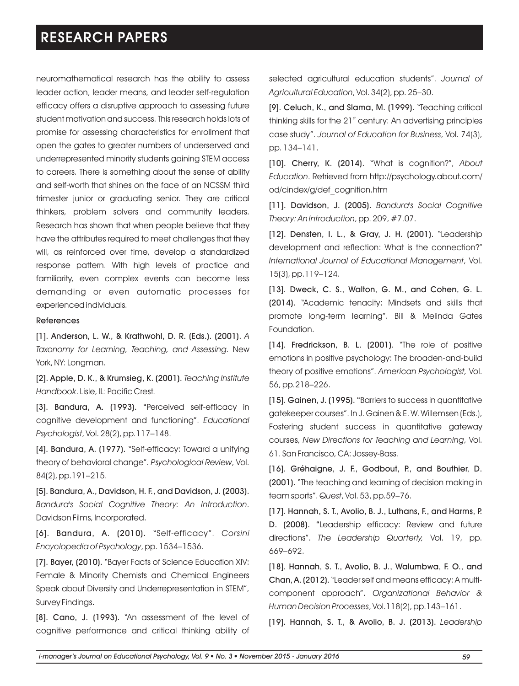neuromathematical research has the ability to assess leader action, leader means, and leader self-regulation efficacy offers a disruptive approach to assessing future student motivation and success. This research holds lots of promise for assessing characteristics for enrollment that open the gates to greater numbers of underserved and underrepresented minority students gaining STEM access to careers. There is something about the sense of ability and self-worth that shines on the face of an NCSSM third trimester junior or graduating senior. They are critical thinkers, problem solvers and community leaders. Research has shown that when people believe that they have the attributes required to meet challenges that they will, as reinforced over time, develop a standardized response pattern. With high levels of practice and familiarity, even complex events can become less demanding or even automatic processes for experienced individuals.

#### References

[1]. Anderson, L. W., & Krathwohl, D. R. (Eds.). (2001). *A Taxonomy for Learning, Teaching, and Assessing*. New York, NY: Longman.

[2]. Apple, D. K., & Krumsieg, K. (2001). *Teaching Institute Handbook*. Lisle, IL: Pacific Crest.

[3]. Bandura, A. (1993). "Perceived self-efficacy in cognitive development and functioning". *Educational Psychologist*, Vol. 28(2), pp.117–148.

[4]. Bandura, A. (1977). "Self-efficacy: Toward a unifying theory of behavioral change". *Psychological Review*, Vol. 84(2), pp.191–215.

[5]. Bandura, A., Davidson, H. F., and Davidson, J. (2003). *Bandura's Social Cognitive Theory: An Introduction*. Davidson Films, Incorporated.

[6]. Bandura, A. (2010). "Self-efficacy ". *Corsini Encyclopedia of Psychology*, pp. 1534–1536.

[7]. Bayer, (2010). "Bayer Facts of Science Education XIV: Female & Minority Chemists and Chemical Engineers Speak about Diversity and Underrepresentation in STEM", Survey Findings.

[8]. Cano, J. (1993). "An assessment of the level of cognitive performance and critical thinking ability of selected agricultural education students". *Journal of Agricultural Education*, Vol. 34(2), pp. 25–30.

[9]. Celuch, K., and Slama, M. (1999). "Teaching critical thinking skills for the  $21<sup>st</sup>$  century: An advertising principles case study". *Journal of Education for Business*, Vol. 74(3), pp. 134–141.

[10]. Cherry, K. (2014). "What is cognition?", *About Education*. Retrieved from http://psychology.about.com/ od/cindex/g/def\_cognition.htm

[11]. Davidson, J. (2005). *Bandura's Social Cognitive Theory: An Introduction*, pp. 209, #7.07.

[12]. Densten, I. L., & Gray, J. H. (2001). "Leadership development and reflection: What is the connection?" *International Journal of Educational Management*, Vol. 15(3), pp.119–124.

[13]. Dweck, C. S., Walton, G. M., and Cohen, G. L. (2014). "Academic tenacity: Mindsets and skills that promote long-term learning". Bill & Melinda Gates Foundation.

[14]. Fredrickson, B. L. (2001). "The role of positive emotions in positive psychology: The broaden-and-build theory of positive emotions". *American Psychologist,* Vol. 56, pp.218–226.

[15]. Gainen, J. (1995). "Barriers to success in quantitative gatekeeper courses". In J. Gainen & E. W. Willemsen (Eds.), Fostering student success in quantitative gateway courses, *New Directions for Teaching and Learning*, Vol. 61. San Francisco, CA: Jossey-Bass.

[16]. Gréhaigne, J. F., Godbout, P., and Bouthier, D. (2001). "The teaching and learning of decision making in team sports". *Quest*, Vol. 53, pp.59–76.

[17]. Hannah, S. T., Avolio, B. J., Luthans, F., and Harms, P. D. (2008). "Leadership efficacy: Review and future directions". *The Leadership Quarterly,* Vol. 19, pp. 669–692.

[18]. Hannah, S. T., Avolio, B. J., Walumbwa, F. O., and Chan, A. (2012). "Leader self and means efficacy: A multicomponent approach". *Organizational Behavior & Human Decision Processes*, Vol.118(2), pp.143–161.

[19]. Hannah, S. T., & Avolio, B. J. (2013). *Leadership*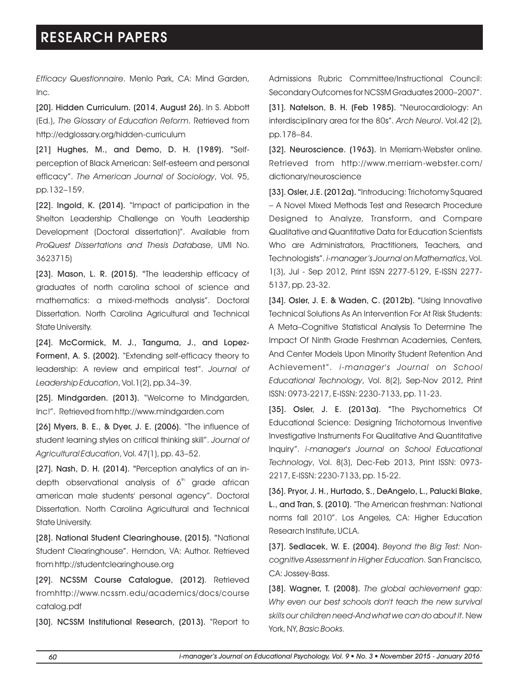*Efficacy Questionnaire*. Menlo Park, CA: Mind Garden, Inc.

[20]. Hidden Curriculum. (2014, August 26). In S. Abbott (Ed.), *The Glossary of Education Reform*. Retrieved from http://edglossary.org/hidden-curriculum

[21] Hughes, M., and Demo, D. H. (1989). "Selfperception of Black American: Self-esteem and personal efficacy". *The American Journal of Sociology*, Vol. 95, pp.132–159.

[22]. Ingold, K. (2014). "Impact of participation in the Shelton Leadership Challenge on Youth Leadership Development (Doctoral dissertation)". Available from *ProQuest Dissertations and Thesis Database*, UMI No. 3623715)

[23]. Mason, L. R. (2015). "The leadership efficacy of graduates of north carolina school of science and mathematics: a mixed-methods analysis". Doctoral Dissertation. North Carolina Agricultural and Technical State University.

[24]. McCormick, M. J., Tanguma, J., and Lopez-Forment, A. S. (2002). "Extending self-efficacy theory to leadership: A review and empirical test". *Journal of Leadership Education*, Vol.1(2), pp.34–39.

[25]. Mindgarden. (2013). "Welcome to Mindgarden, Inc!". Retrieved from http://www.mindgarden.com

[26] Myers, B. E., & Dyer, J. E. (2006). "The influence of student learning styles on critical thinking skill". *Journal of Agricultural Education*, Vol. 47(1), pp. 43–52.

[27]. Nash, D. H. (2014). "Perception analytics of an indepth observational analysis of  $6<sup>th</sup>$  grade african american male students' personal agency". Doctoral Dissertation. North Carolina Agricultural and Technical State University.

[28]. National Student Clearinghouse, (2015). "National Student Clearinghouse". Herndon, VA: Author. Retrieved from http://studentclearinghouse.org

[29]. NCSSM Course Catalogue, (2012). Retrieved fromhttp://www.ncssm.edu/academics/docs/course catalog.pdf

[30]. NCSSM Institutional Research, (2013). "Report to

Admissions Rubric Committee/Instructional Council: Secondary Outcomes for NCSSM Graduates 2000–2007".

[31]. Natelson, B. H. (Feb 1985). "Neurocardiology: An interdisciplinary area for the 80s". *Arch Neurol*. Vol.42 (2), pp.178–84.

[32]. Neuroscience. (1963). In Merriam-Webster online. Retrieved from http://www.merriam-webster.com/ dictionary/neuroscience

[33]. Osler, J.E. (2012a). "Introducing: Trichotomy Squared – A Novel Mixed Methods Test and Research Procedure Designed to Analyze, Transform, and Compare Qualitative and Quantitative Data for Education Scientists Who are Administrators, Practitioners, Teachers, and Technologists". *i-manager's Journal on Mathematics*, Vol. 1(3), Jul - Sep 2012, Print ISSN 2277-5129, E-ISSN 2277- 5137, pp. 23-32.

[34]. Osler, J. E. & Waden, C. (2012b). "Using Innovative Technical Solutions As An Intervention For At Risk Students: A Meta–Cognitive Statistical Analysis To Determine The Impact Of Ninth Grade Freshman Academies, Centers, And Center Models Upon Minority Student Retention And Achievement". *i-manager's Journal on School Educational Technology*, Vol. 8(2), Sep-Nov 2012, Print ISSN: 0973-2217, E-ISSN: 2230-7133, pp. 11-23.

[35]. Osler, J. E. (2013a). "The Psychometrics Of Educational Science: Designing Trichotomous Inventive Investigative Instruments For Qualitative And Quantitative Inquiry". *i-manager's Journal on School Educational Technology*, Vol. 8(3), Dec-Feb 2013, Print ISSN: 0973- 2217, E-ISSN: 2230-7133, pp. 15-22.

[36]. Pryor, J. H., Hurtado, S., DeAngelo, L., Palucki Blake, L., and Tran, S. (2010). "The American freshman: National norms fall 2010". Los Angeles, CA: Higher Education Research Institute, UCLA.

[37]. Sedlacek, W. E. (2004). *Beyond the Big Test: Noncognitive Assessment in Higher Education*. San Francisco, CA: Jossey-Bass.

[38]. Wagner, T. (2008). *The global achievement gap: Why even our best schools don't teach the new survival skills our children need-And what we can do about it*. New York, NY, *Basic Books.*